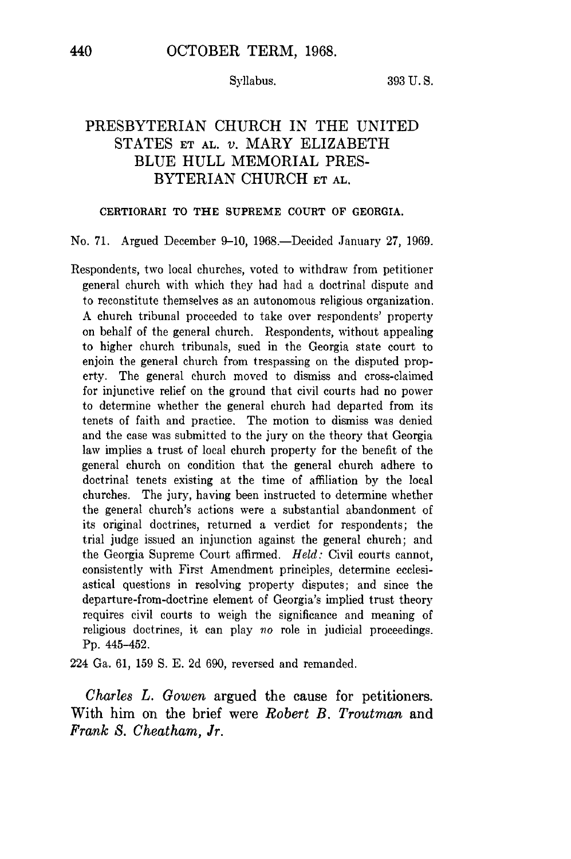Syllabus. 393 U. S.

# PRESBYTERIAN CHURCH IN THE UNITED STATES **ET AL.** *v.* MARY ELIZABETH **BLUE HULL** MEMORIAL PRES-BYTERIAN CHURCH **ET AL.**

## CERTIORARI TO **THE** SUPREME **COURT OF GEORGIA.**

No. 71. Argued December 9–10, 1968.—Decided January 27, 1969.

Respondents, two local churches, voted to withdraw from petitioner general church with which they had had a doctrinal dispute and to reconstitute themselves as an autonomous religious organization. A church tribunal proceeded to take over respondents' property on behalf of the general church. Respondents, without appealing to higher church tribunals, sued in the Georgia state court to enjoin the general church from trespassing on the disputed property. The general church moved to dismiss and cross-claimed for injunctive relief on the ground that civil courts had no power to determine whether the general church had departed from its tenets of faith and practice. The motion to dismiss was denied and the case was submitted to the jury on the theory that Georgia law implies a trust of local church property for the benefit of the general church on condition that the general church adhere to doctrinal tenets existing at the time of affiliation by the local churches. The jury, having been instructed to determine whether the general church's actions were a substantial abandonment of its original doctrines, returned a verdict for respondents; the trial judge issued an injunction against the general church; and the Georgia Supreme Court affirmed. *Held:* Civil courts cannot, consistently with First Amendment principles, determine ecclesiastical questions in resolving property disputes; and since the departure-from-doctrine element of Georgia's implied trust theory requires civil courts to weigh the significance and meaning of religious doctrines, it can play no role in judicial proceedings. Pp. 445-452.

224 Ga. 61, 159 S. E. 2d 690, reversed and remanded.

*Charles L. Gowen* argued the cause for petitioners. With him on the brief were *Robert B. Troutman* and *Frank S. Cheatham, Jr.*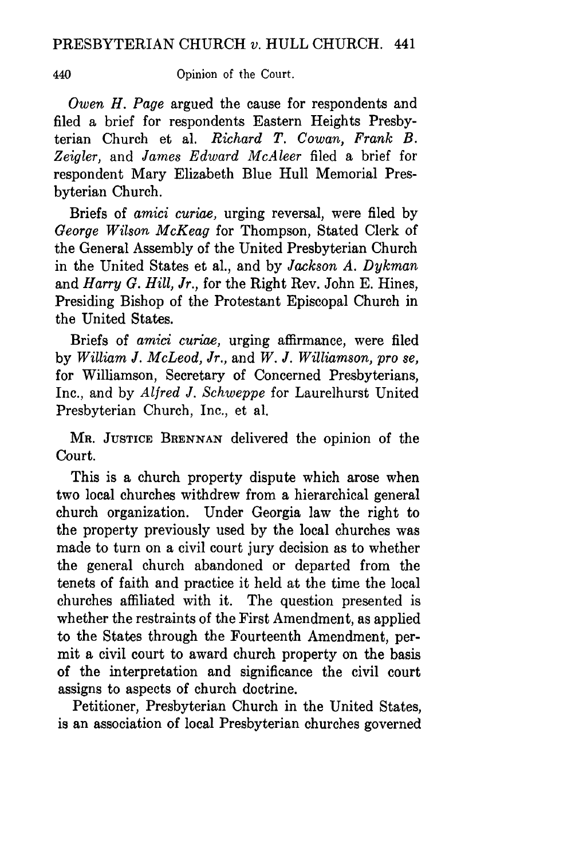*Owen H. Page* argued the cause for respondents and filed a brief for respondents Eastern Heights Presbyterian Church et al. *Richard T. Cowan, Frank B. Zeigler,* and *James Edward McAleer* filed a brief for respondent Mary Elizabeth Blue Hull Memorial Presbyterian Church.

Briefs of *amici curiae,* urging reversal, were filed by *George Wilson McKeag* for Thompson, Stated Clerk of the General Assembly of the United Presbyterian Church in the United States et al., and by *Jackson A. Dykman* and *Harry G. Hill, Jr.,* for the Right Rev. John E. Hines, Presiding Bishop of the Protestant Episcopal Church in the United States.

Briefs of *amici curiae,* urging affirmance, were filed by *William J. McLeod, Jr.,* and *W. J. Williamson, pro se,* for Williamson, Secretary of Concerned Presbyterians, Inc., and by *Alfred J. Schweppe* for Laurelhurst United Presbyterian Church, Inc., et al.

MR. **JUSTICE BRENNAN** delivered the opinion of the Court.

This is a church property dispute which arose when two local churches withdrew from a hierarchical general church organization. Under Georgia law the right to the property previously used **by** the local churches was made to turn on a civil court jury decision as to whether the general church abandoned or departed from the tenets of faith and practice it held at the time the local churches affiliated with it. The question presented is whether the restraints of the First Amendment, as applied to the States through the Fourteenth Amendment, permit a civil court to award church property on the basis of the interpretation and significance the civil court assigns to aspects of church doctrine.

Petitioner, Presbyterian Church in the United States, is an association of local Presbyterian churches governed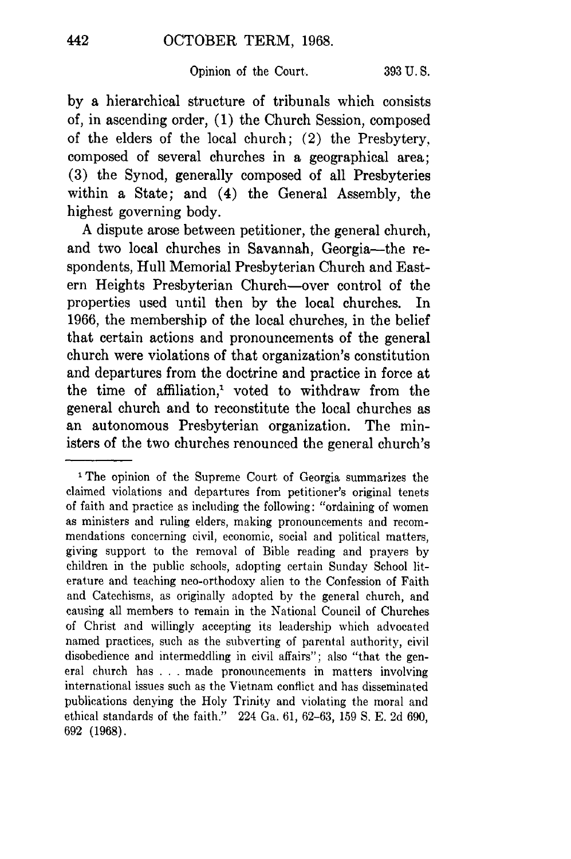by a hierarchical structure of tribunals which consists of, in ascending order, (1) the Church Session, composed of the elders of the local church; (2) the Presbytery, composed of several churches in a geographical area; (3) the Synod, generally composed of all Presbyteries within a State; and (4) the General Assembly, the highest governing body.

A dispute arose between petitioner, the general church, and two local churches in Savannah, Georgia-the respondents, Hull Memorial Presbyterian Church and Eastern Heights Presbyterian Church-over control of the properties used until then by the local churches. In 1966, the membership of the local churches, in the belief that certain actions and pronouncements of the general church were violations of that organization's constitution and departures from the doctrine and practice in force at the time of affiliation,<sup>1</sup> voted to withdraw from the general church and to reconstitute the local churches as an autonomous Presbyterian organization. The ministers of the two churches renounced the general church's

<sup>1</sup> The opinion of the Supreme Court of Georgia summarizes the claimed violations and departures from petitioner's original tenets of faith and practice as including the following: "ordaining of women as ministers and ruling elders, making pronouncements and recommendations concerning civil, economic, social and political matters, giving support to the removal of Bible reading and prayers by children in the public schools, adopting certain Sunday School literature and teaching neo-orthodoxy alien to the Confession of Faith and Catechisms, as originally adopted by the general church, and causing all members to remain in the National Council of Churches of Christ and willingly accepting its leadership which advocated named practices, such as the subverting of parental authority, civil disobedience and intermeddling in civil affairs"; also "that the general church has **. . .** made pronouncements in matters involving international issues such as the Vietnam conflict and has disseminated publications denying the Holy Trinity and violating the moral and ethical standards of the faith." 224 Ga. 61, 62-63, 159 **S. E.** 2d 690, 692 (1968).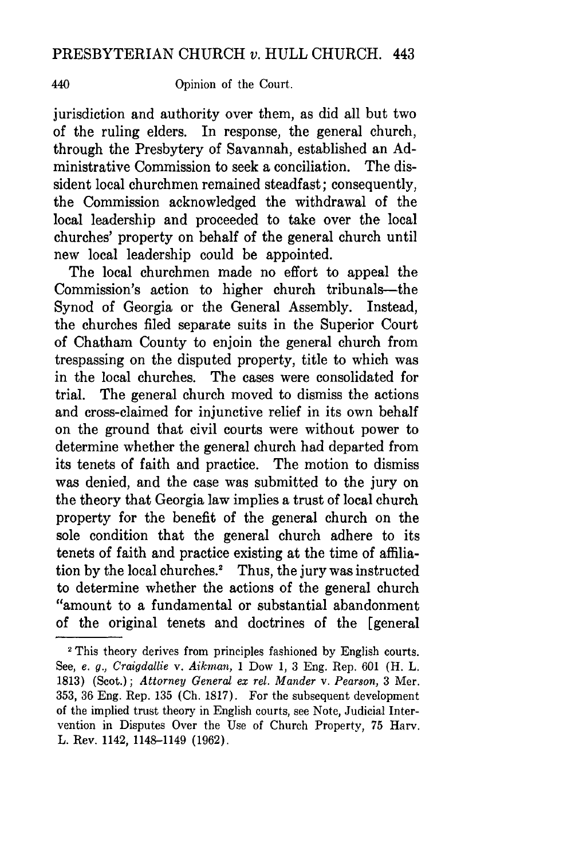jurisdiction and authority over them, as did all but two of the ruling elders. In response, the general church, through the Presbytery of Savannah, established an Administrative Commission to seek a conciliation. The dissident local churchmen remained steadfast; consequently, the Commission acknowledged the withdrawal of the local leadership and proceeded to take over the local churches' property on behalf of the general church until new local leadership could be appointed.

The local churchmen made no effort to appeal the Commission's action to higher church tribunals-the Synod of Georgia or the General Assembly. Instead, the churches filed separate suits in the Superior Court of Chatham County to enjoin the general church from trespassing on the disputed property, title to which was in the local churches. The cases were consolidated for trial. The general church moved to dismiss the actions and cross-claimed for injunctive relief in its own behalf on the ground that civil courts were without power to determine whether the general church had departed from its tenets of faith and practice. The motion to dismiss was denied, and the case was submitted to the jury on the theory that Georgia law implies a trust of local church property for the benefit of the general church on the sole condition that the general church adhere to its tenets of faith and practice existing at the time of affiliation by the local churches.' Thus, the jury was instructed to determine whether the actions of the general church "amount to a fundamental or substantial abandonment of the original tenets and doctrines of the [general

**<sup>2</sup>**This theory derives from principles fashioned by English courts. See, *e. g., Craigdallie v. Aikman,* 1 Dow 1, 3 Eng. Rep. 601 (H. L. 1813) (Scot.); *Attorney General ex rel. Mander v. Pearson,* 3 Mer. 353, 36 Eng. Rep. 135 (Ch. 1817). For the subsequent development of the implied trust theory in English courts, see Note, Judicial Intervention in Disputes Over the Use of Church Property, 75 Harv. L. Rev. 1142, 1148-1149 (1962).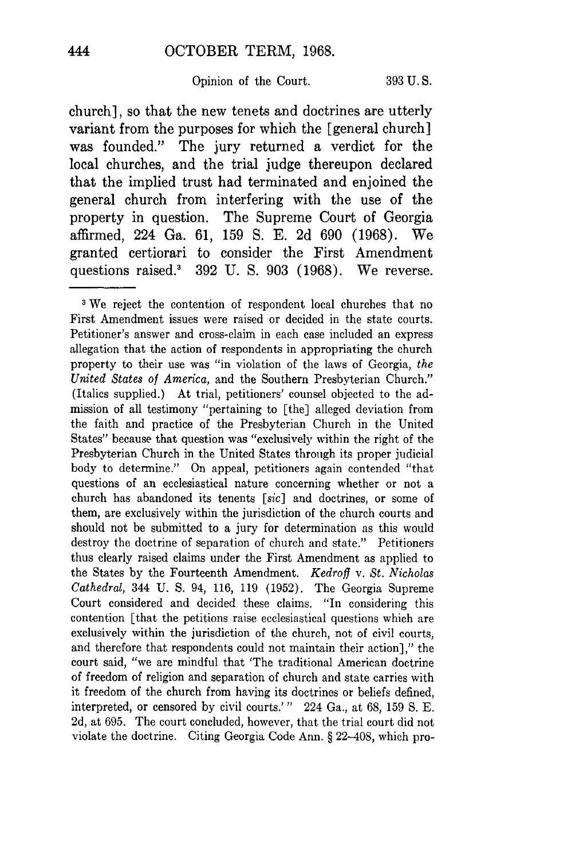church], so that the new tenets and doctrines are utterly variant from the purposes for which the [general church] was founded." The jury returned a verdict for the local churches, and the trial judge thereupon declared that the implied trust had terminated and enjoined the general church from interfering with the use of the property in question. The Supreme Court of Georgia affirmed, 224 Ga. 61, 159 S. E. 2d 690 (1968). We granted certiorari to consider the First Amendment questions raised.<sup>3</sup> 392 U. S. 903 (1968). We reverse.

<sup>3</sup> We reject the contention of respondent local churches that no First Amendment issues were raised or decided in the state courts. Petitioner's answer and cross-claim in each case included an express allegation that the action of respondents in appropriating the church property to their use was "in violation of the laws of Georgia, *the United States of America,* and the Southern Presbyterian Church." (Italics supplied.) At trial, petitioners' counsel objected to the admission of all testimony "pertaining to [the] alleged deviation from the faith and practice of the Presbyterian Church in the United States" because that question was "exclusively within the right of the Presbyterian Church in the United States through its proper judicial body to determine." On appeal, petitioners again contended "that questions of an ecclesiastical nature concerning whether or not a church has abandoned its tenents *[sic]* and doctrines, or some of them, are exclusively within the jurisdiction of the church courts and should not be submitted to a jury for determination as this would destroy the doctrine of separation of church and state." Petitioners thus clearly raised claims under the First Amendment as applied to the States by the Fourteenth Amendment. *Kedroff v. St. Nicholas Cathedral,* 344 U. **S.** 94, 116, 119 (1952). The Georgia Supreme Court considered and decided these claims. "In considering this contention [that the petitions raise ecclesiastical questions which are exclusively within the jurisdiction of the church, not of civil courts, and therefore that respondents could not maintain their action]," the court said, "we are mindful that 'The traditional American doctrine of freedom of religion and separation of church and state carries with it freedom of the church from having its doctrines or beliefs defined, interpreted, or censored by civil courts.'" 224 Ga., at 68, 159 **S.** E. 2d, at 695. The court concluded, however, that the trial court did not violate the doctrine. Citing Georgia Code Ann. § 22-408, which pro-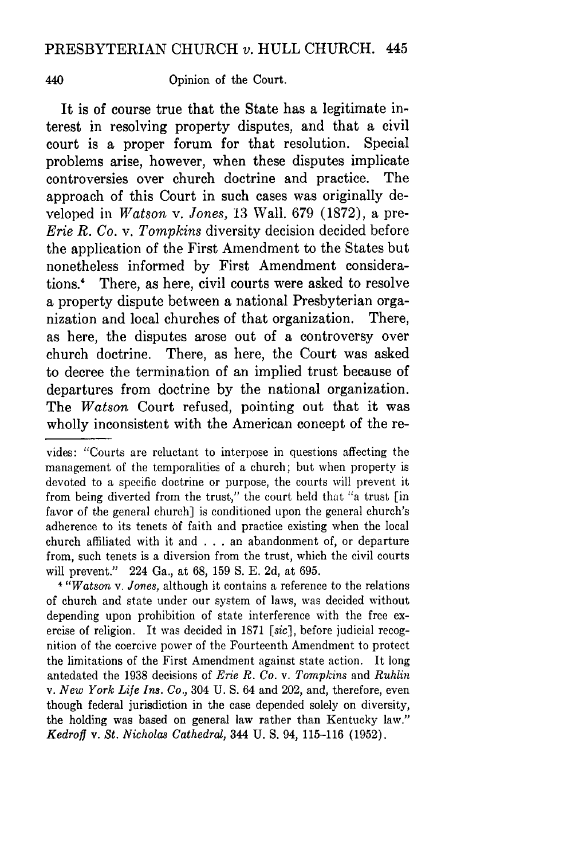It is of course true that the State has a legitimate interest in resolving property disputes, and that a civil court is a proper forum for that resolution. Special problems arise, however, when these disputes implicate controversies over church doctrine and practice. The approach of this Court in such cases was originally developed in *Watson v. Jones,* 13 Wall. 679 (1872), a pre-*Erie R. Co.* v. *Tompkins* diversity decision decided before the application of the First Amendment to the States but nonetheless informed by First Amendment considerations.' There, as here, civil courts were asked to resolve a property dispute between a national Presbyterian organization and local churches of that organization. There, as here, the disputes arose out of a controversy over church doctrine. There, as here, the Court was asked to decree the termination of an implied trust because of departures from doctrine by the national organization. The *Watson* Court refused, pointing out that it was wholly inconsistent with the American concept of the re-

*4 "Watson v. Jones,* although it contains a reference to the relations of church and state under our system of laws, was decided without depending upon prohibition of state interference with the free exercise of religion. It was decided in 1871 *[sic],* before judicial recognition of the coercive power of the Fourteenth Amendment to protect the limitations of the First Amendment against state action. It long antedated the 1938 decisions of *Erie R. Co.* v. *Tompkins* and *Ruhlin v. New York Life Ins. Co.,* 304 U. S. 64 and 202, and, therefore, even though federal jurisdiction in the case depended solely on diversity, the holding was based on general law rather than Kentucky law." *Kedrof] v. St. Nicholas Cathedral,* 344 U. S. 94, 115-116 (1952).

vides: "Courts are reluctant to interpose in questions affecting the management of the temporalities of a church; but when property is devoted to a specific doctrine or purpose, the courts will prevent it from being diverted from the trust," the court held that "a trust [in favor of the general church] is conditioned upon the general church's adherence to its tenets **of** faith and practice existing when the local church affiliated with it and . . . an abandonment of, or departure from, such tenets is a diversion from the trust, which the civil courts will prevent." 224 Ga., at 68, 159 S. E. 2d, at 695.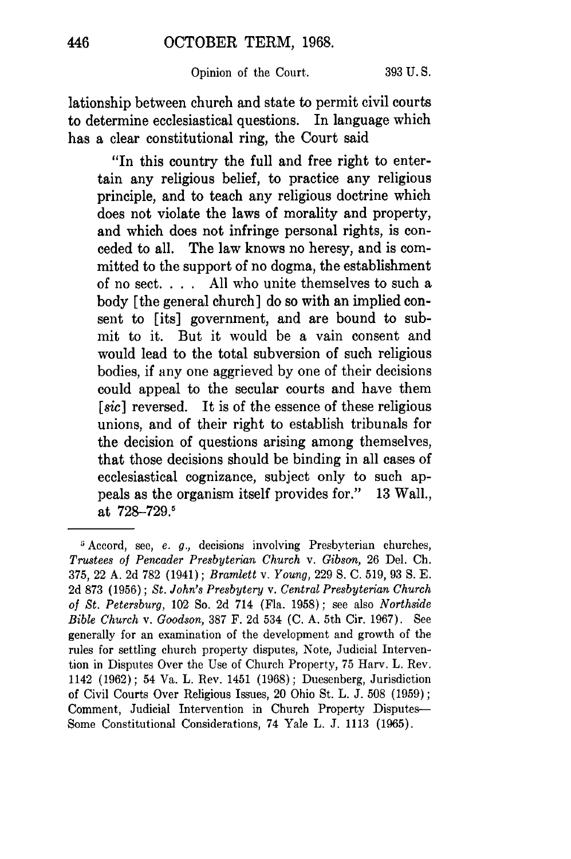lationship between church and state to permit civil courts to determine ecclesiastical questions. In language which has a clear constitutional ring, the Court said

"In this country the full and free right to entertain any religious belief, to practice any religious principle, and to teach any religious doctrine which does not violate the laws of morality and property, and which does not infringe personal rights, is conceded to all. The law knows no heresy, and is committed to the support of no dogma, the establishment of no sect. . **.** . All who unite themselves to such a body [the general church] do so with an implied consent to [its] government, and are bound to submit to it. But it would be a vain consent and would lead to the total subversion of such religious bodies, if any one aggrieved by one of their decisions could appeal to the secular courts and have them [sic] reversed. It is of the essence of these religious unions, and of their right to establish tribunals for the decision of questions arising among themselves, that those decisions should be binding in all cases of ecclesiastical cognizance, subject only to such appeals as the organism itself provides for." 13 Wall., at 728-729.5

<sup>&</sup>lt;sup>5</sup> Accord, see, *e. g.*, decisions involving Presbyterian churches, *Trustees of Pencader Presbyterian Church v. Gibson,* 26 Del. Ch. 375, 22 A. 2d 782 (1941); *Bramlett* v. *Young,* 229 S. C. 519, 93 **S.** E. 2d 873 (1956); *St. John's Presbytery v. Central Presbyterian Church of St. Petersburg,* 102 So. 2d 714 (Fla. 1958); see also *Northside Bible Church v. Goodson,* 387 F. 2d 534 (C. A. 5th Cir. 1967). See generally for an examination of the development and growth of the rules for settling church property disputes, Note, Judicial Intervention in Disputes Over the Use of Church Property, 75 Harv. L. Rev. 1142 (1962); 54 Va. L. Rev. 1451 (1968); Duesenberg, Jurisdiction of Civil Courts Over Religious Issues, 20 Ohio St. L. J. 508 (1959); Comment, Judicial Intervention in Church Property Disputes-Some Constitutional Considerations, 74 Yale L. J. 1113 (1965).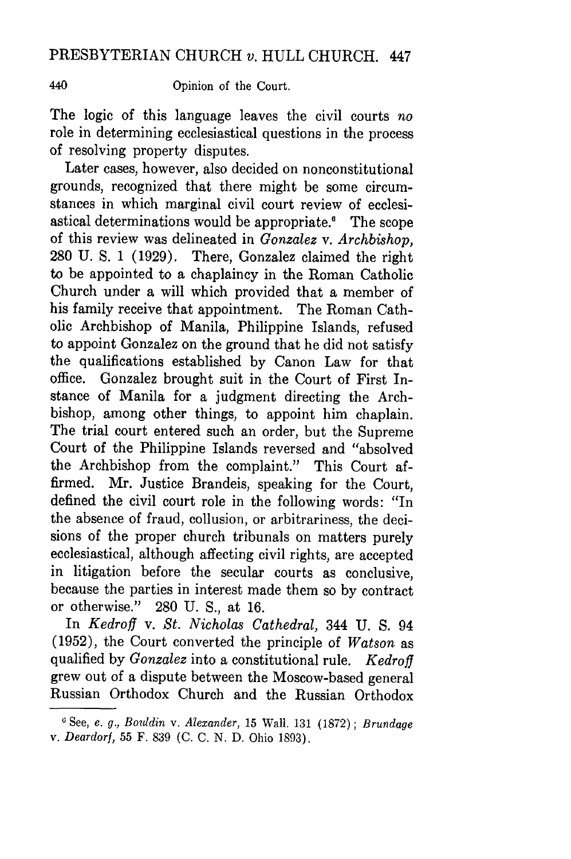The logic of this language leaves the civil courts *no* role in determining ecclesiastical questions in the process of resolving property disputes.

Later cases, however, also decided on nonconstitutional grounds, recognized that there might be some circumstances in which marginal civil court review of ecclesiastical determinations would be appropriate.<sup>6</sup> The scope of this review was delineated in *Gonzalez v. Archbishop,* 280 U. **S.** 1 (1929). There, Gonzalez claimed the right to be appointed to a chaplaincy in the Roman Catholic Church under a will which provided that a member of his family receive that appointment. The Roman Catholic Archbishop of Manila, Philippine Islands, refused to appoint Gonzalez on the ground that he did not satisfy the qualifications established by Canon Law for that office. Gonzalez brought suit in the Court of First Instance of Manila for a judgment directing the Archbishop, among other things, to appoint him chaplain. The trial court entered such an order, but the Supreme Court of the Philippine Islands reversed and "absolved the Archbishop from the complaint." This Court affirmed. Mr. Justice Brandeis, speaking for the Court, defined the civil court role in the following words: "In the absence of fraud, collusion, or arbitrariness, the decisions of the proper church tribunals on matters purely ecclesiastical, although affecting civil rights, are accepted in litigation before the secular courts as conclusive, because the parties in interest made them so by contract or otherwise." 280 U. S., at 16.

In *Kedrofi v. St. Nicholas Cathedral,* 344 U. **S.** 94 (1952), the Court converted the principle of *Watson* as qualified by *Gonzalez* into a constitutional rule. *Kedroff* grew out of a dispute between the Moscow-based general Russian Orthodox Church and the Russian Orthodox

**<sup>1</sup>** See, *e. g., Bouldin v. Alexander,* 15 Wall. 131 (1872); *Brundage* v. *Deardorf,* 55 F. 839 (C. C. N. D. Ohio 1893).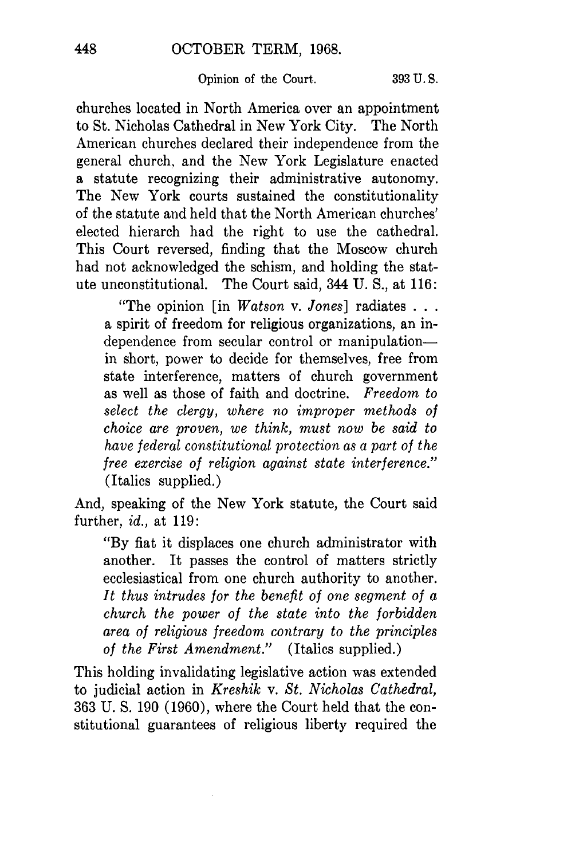churches located in North America over an appointment to St. Nicholas Cathedral in New York City. The North American churches declared their independence from the general church, and the New York Legislature enacted a statute recognizing their administrative autonomy. The New York courts sustained the constitutionality of the statute and held that the North American churches' elected hierarch had the right to use the cathedral. This Court reversed, finding that the Moscow church had not acknowledged the schism, and holding the statute unconstitutional. The Court said, 344 U. S., at 116:

"The opinion [in *Watson v. Jones]* radiates **. . .** a spirit of freedom for religious organizations, an independence from secular control or manipulationin short, power to decide for themselves, free from state interference, matters of church government as well as those of faith and doctrine. *Freedom to select the clergy, where no improper methods of choice are proven, we think, must now be said to have federal constitutional protection as a part of the free exercise of religion against state interference."* (Italics supplied.)

And, speaking of the New York statute, the Court said further, *id.,* at 119:

"By fiat it displaces one church administrator with another. It passes the control of matters strictly ecclesiastical from one church authority to another. *It thus intrudes for the benefit of one segment of a church the power of the state into the forbidden area of religious freedom contrary to the principles of the First Amendment."* (Italics supplied.)

This holding invalidating legislative action was extended to judicial action in *Kreshik v. St. Nicholas Cathedral,* 363 U. **S.** 190 (1960), where the Court held that the constitutional guarantees of religious liberty required the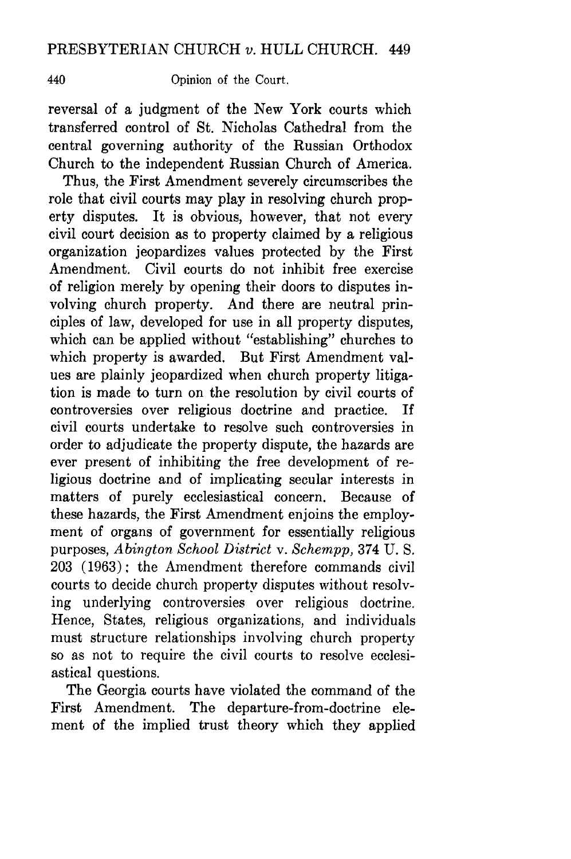reversal of a judgment of the New York courts which transferred control of St. Nicholas Cathedral from the central governing authority of the Russian Orthodox Church to the independent Russian Church of America.

Thus, the First Amendment severely circumscribes the role that civil courts may play in resolving church property disputes. It is obvious, however, that not every civil court decision as to property claimed by a religious organization jeopardizes values protected by the First Amendment. Civil courts do not inhibit free exercise of religion merely by opening their doors to disputes involving church property. And there are neutral principles of law, developed for use in all property disputes, which can be applied without "establishing" churches to which property is awarded. But First Amendment values are plainly jeopardized when church property litigation is made to turn on the resolution by civil courts of controversies over religious doctrine and practice. If civil courts undertake to resolve such controversies in order to adjudicate the property dispute, the hazards are ever present of inhibiting the free development of religious doctrine and of implicating secular interests in matters of purely ecclesiastical concern. Because of these hazards, the First Amendment enjoins the employment of organs of government for essentially religious purposes, *Abington School District v. Schempp,* 374 U. S. 203 (1963): the Amendment therefore commands civil courts to decide church property disputes without resolving underlying controversies over religious doctrine. Hence, States, religious organizations, and individuals must structure relationships involving church property so as not to require the civil courts to resolve ecclesiastical questions.

The Georgia courts have violated the command of the First Amendment. The departure-from-doctrine element of the implied trust theory which they applied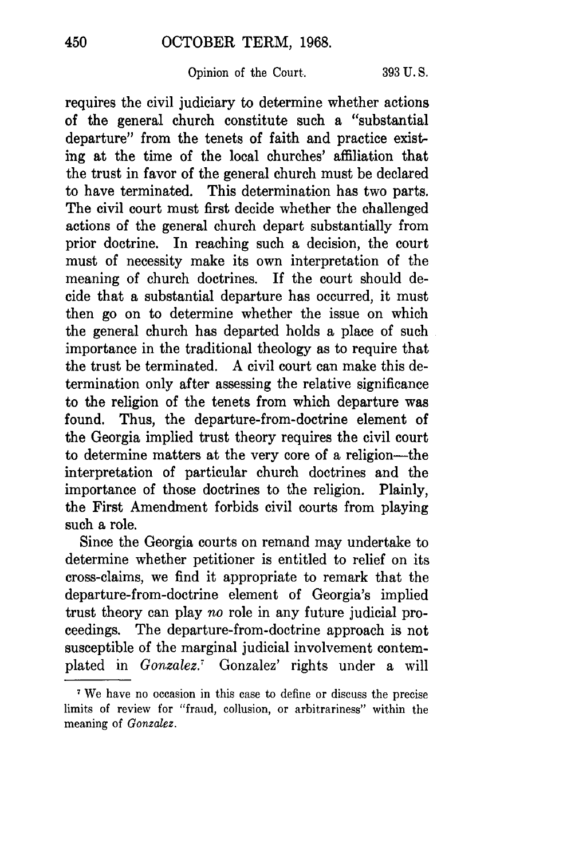requires the civil judiciary to determine whether actions of the general church constitute such a "substantial departure" from the tenets of faith and practice existing at the time of the local churches' affiliation that the trust in favor of the general church must be declared to have terminated. This determination has two parts. The civil court must first decide whether the challenged actions of the general church depart substantially from prior doctrine. In reaching such a decision, the court must of necessity make its own interpretation of the meaning of church doctrines. If the court should decide that a substantial departure has occurred, it must then go on to determine whether the issue on which the general church has departed holds a place of such importance in the traditional theology as to require that the trust be terminated. A civil court can make this determination only after assessing the relative significance to the religion of the tenets from which departure was found. Thus, the departure-from-doctrine element of the Georgia implied trust theory requires the civil court to determine matters at the very core of a religion-the interpretation of particular church doctrines and the importance of those doctrines to the religion. Plainly, the First Amendment forbids civil courts from playing such a role.

Since the Georgia courts on remand may undertake to determine whether petitioner is entitled to relief on its cross-claims, we find it appropriate to remark that the departure-from-doctrine element of Georgia's implied trust theory can play *no* role in any future judicial proceedings. The departure-from-doctrine approach is not susceptible of the marginal judicial involvement contemplated in *Gonzalez.7* Gonzalez' rights under a will

<sup>&</sup>lt;sup>7</sup> We have no occasion in this case to define or discuss the precise limits of review for "fraud, collusion, or arbitrariness" within the meaning of *Gonzalez.*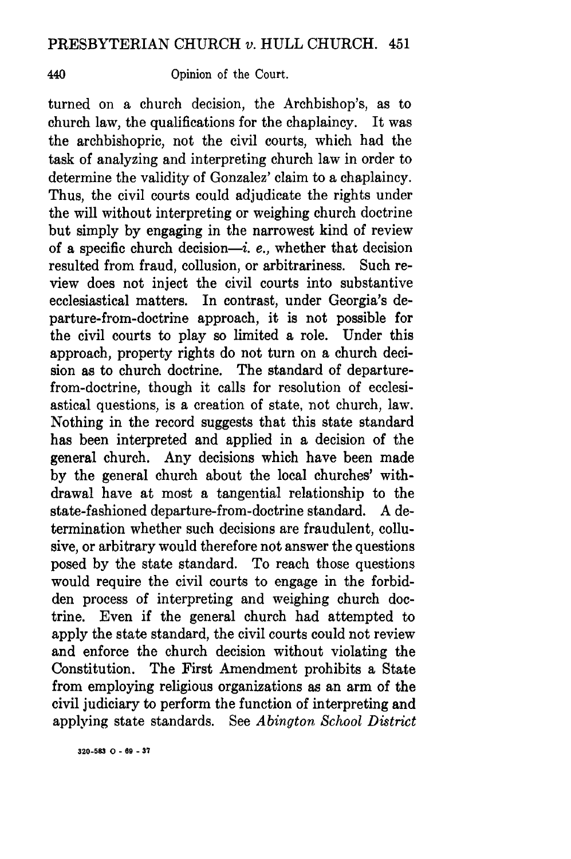turned on a church decision, the Archbishop's, as to church law, the qualifications for the chaplaincy. It was the archbishopric, not the civil courts, which had the task of analyzing and interpreting church law in order to determine the validity of Gonzalez' claim to a chaplaincy. Thus, the civil courts could adjudicate the rights under the will without interpreting or weighing church doctrine but simply by engaging in the narrowest kind of review of a specific church decision-i. *e.,* whether that decision resulted from fraud, collusion, or arbitrariness. Such review does not inject the civil courts into substantive ecclesiastical matters. In contrast, under Georgia's departure-from-doctrine approach, it is not possible for the civil courts to play so limited a role. Under this approach, property rights do not turn on a church decision as to church doctrine. The standard of departurefrom-doctrine, though it calls for resolution of ecclesiastical questions, is a creation of state, not church, law. Nothing in the record suggests that this state standard has been interpreted and applied in a decision of the general church. Any decisions which have been made by the general church about the local churches' withdrawal have at most a tangential relationship to the state-fashioned departure-from-doctrine standard. A determination whether such decisions are fraudulent, collusive, or arbitrary would therefore not answer the questions posed by the state standard. To reach those questions would require the civil courts to engage in the forbidden process of interpreting and weighing church doctrine. Even if the general church had attempted to apply the state standard, the civil courts could not review and enforce the church decision without violating the Constitution. The First Amendment prohibits a State from employing religious organizations as an arm of the civil judiciary to perform the function of interpreting and applying state standards. See *Abington School District*

**320-583 0 - 69 - 37**